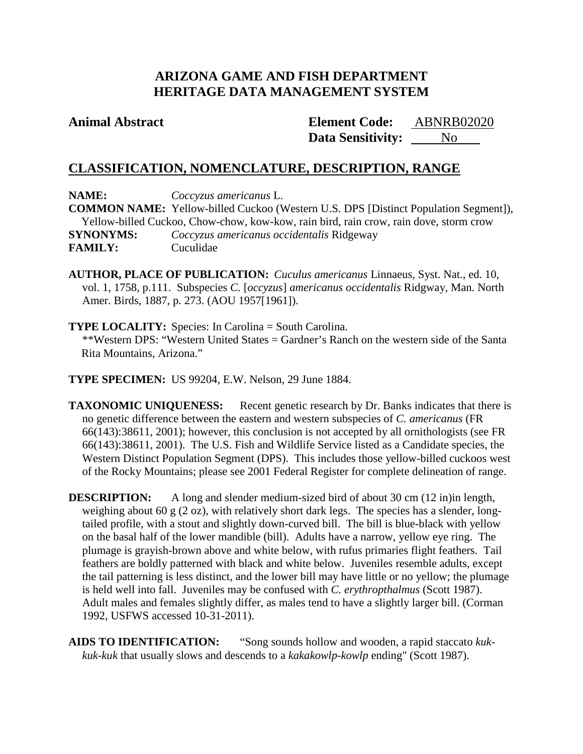# **ARIZONA GAME AND FISH DEPARTMENT HERITAGE DATA MANAGEMENT SYSTEM**

# **Animal Abstract Element Code:**

**Data Sensitivity:** No ABNRB02020

# **CLASSIFICATION, NOMENCLATURE, DESCRIPTION, RANGE**

**NAME:** *Coccyzus americanus* L. **COMMON NAME:** Yellow-billed Cuckoo (Western U.S. DPS [Distinct Population Segment]), Yellow-billed Cuckoo, Chow-chow, kow-kow, rain bird, rain crow, rain dove, storm crow **SYNONYMS:** *Coccyzus americanus occidentalis* Ridgeway **FAMILY:** Cuculidae

**AUTHOR, PLACE OF PUBLICATION:** *Cuculus americanus* Linnaeus, Syst. Nat., ed. 10, vol. 1, 1758, p.111. Subspecies *C.* [*occyzus*] *americanus occidentalis* Ridgway, Man. North Amer. Birds, 1887, p. 273. (AOU 1957[1961]).

**TYPE LOCALITY:** Species: In Carolina = South Carolina. \*\*Western DPS: "Western United States = Gardner's Ranch on the western side of the Santa Rita Mountains, Arizona."

**TYPE SPECIMEN:** US 99204, E.W. Nelson, 29 June 1884.

**TAXONOMIC UNIQUENESS:** Recent genetic research by Dr. Banks indicates that there is no genetic difference between the eastern and western subspecies of *C. americanus* (FR 66(143):38611, 2001); however, this conclusion is not accepted by all ornithologists (see FR 66(143):38611, 2001). The U.S. Fish and Wildlife Service listed as a Candidate species, the Western Distinct Population Segment (DPS). This includes those yellow-billed cuckoos west of the Rocky Mountains; please see 2001 Federal Register for complete delineation of range.

**DESCRIPTION:** A long and slender medium-sized bird of about 30 cm (12 in)in length, weighing about 60 g (2 oz), with relatively short dark legs. The species has a slender, longtailed profile, with a stout and slightly down-curved bill. The bill is blue-black with yellow on the basal half of the lower mandible (bill). Adults have a narrow, yellow eye ring. The plumage is grayish-brown above and white below, with rufus primaries flight feathers. Tail feathers are boldly patterned with black and white below. Juveniles resemble adults, except the tail patterning is less distinct, and the lower bill may have little or no yellow; the plumage is held well into fall. Juveniles may be confused with *C. erythropthalmus* (Scott 1987). Adult males and females slightly differ, as males tend to have a slightly larger bill. (Corman 1992, USFWS accessed 10-31-2011).

**AIDS TO IDENTIFICATION:** "Song sounds hollow and wooden, a rapid staccato *kukkuk-kuk* that usually slows and descends to a *kakakowlp-kowlp* ending" (Scott 1987).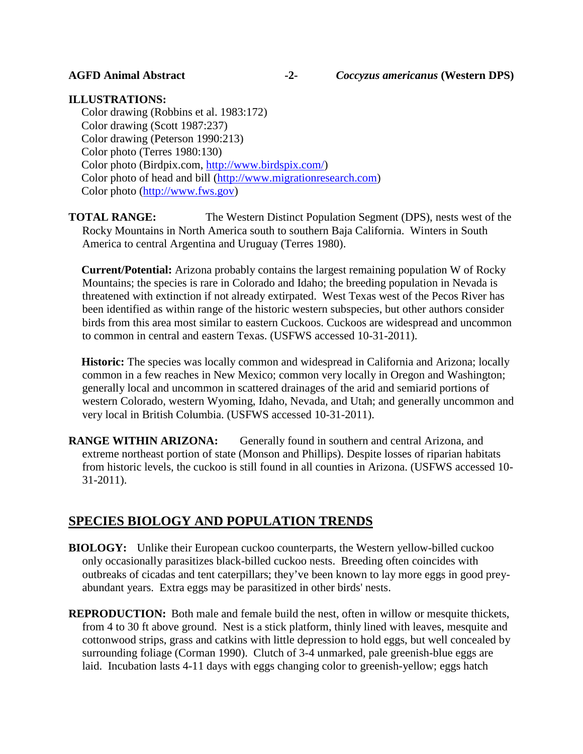## **ILLUSTRATIONS:**

Color drawing (Robbins et al. 1983:172) Color drawing (Scott 1987:237) Color drawing (Peterson 1990:213) Color photo (Terres 1980:130) Color photo (Birdpix.com, [http://www.birdspix.com/\)](http://www.birdspix.com/) Color photo of head and bill [\(http://www.migrationresearch.com\)](http://www.migrationresearch.com/) Color photo [\(http://www.fws.gov\)](http://www.fws.gov/)

**TOTAL RANGE:** The Western Distinct Population Segment (DPS), nests west of the Rocky Mountains in North America south to southern Baja California. Winters in South America to central Argentina and Uruguay (Terres 1980).

**Current/Potential:** Arizona probably contains the largest remaining population W of Rocky Mountains; the species is rare in Colorado and Idaho; the breeding population in Nevada is threatened with extinction if not already extirpated. West Texas west of the Pecos River has been identified as within range of the historic western subspecies, but other authors consider birds from this area most similar to eastern Cuckoos. Cuckoos are widespread and uncommon to common in central and eastern Texas. (USFWS accessed 10-31-2011).

**Historic:** The species was locally common and widespread in California and Arizona; locally common in a few reaches in New Mexico; common very locally in Oregon and Washington; generally local and uncommon in scattered drainages of the arid and semiarid portions of western Colorado, western Wyoming, Idaho, Nevada, and Utah; and generally uncommon and very local in British Columbia. (USFWS accessed 10-31-2011).

**RANGE WITHIN ARIZONA:** Generally found in southern and central Arizona, and extreme northeast portion of state (Monson and Phillips). Despite losses of riparian habitats from historic levels, the cuckoo is still found in all counties in Arizona. (USFWS accessed 10- 31-2011).

# **SPECIES BIOLOGY AND POPULATION TRENDS**

- **BIOLOGY:** Unlike their European cuckoo counterparts, the Western yellow-billed cuckoo only occasionally parasitizes black-billed cuckoo nests. Breeding often coincides with outbreaks of cicadas and tent caterpillars; they've been known to lay more eggs in good preyabundant years. Extra eggs may be parasitized in other birds' nests.
- **REPRODUCTION:** Both male and female build the nest, often in willow or mesquite thickets, from 4 to 30 ft above ground. Nest is a stick platform, thinly lined with leaves, mesquite and cottonwood strips, grass and catkins with little depression to hold eggs, but well concealed by surrounding foliage (Corman 1990). Clutch of 3-4 unmarked, pale greenish-blue eggs are laid. Incubation lasts 4-11 days with eggs changing color to greenish-yellow; eggs hatch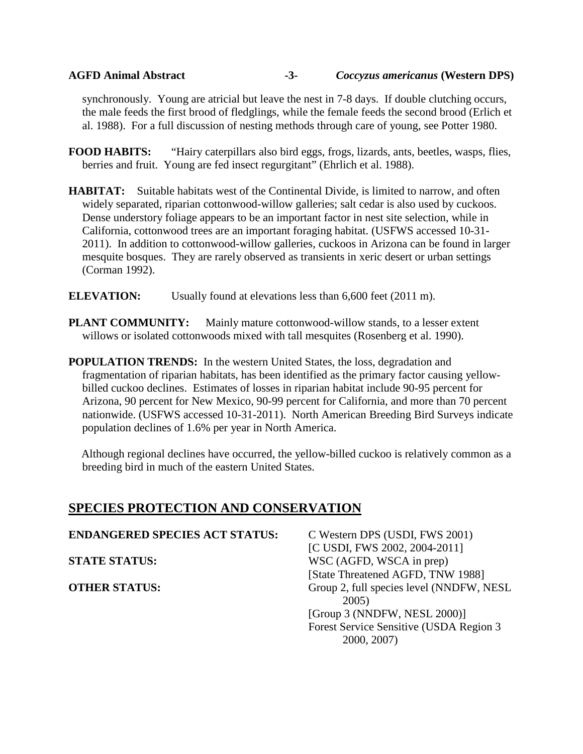### **AGFD Animal Abstract -3-** *Coccyzus americanus* **(Western DPS)**

synchronously. Young are atricial but leave the nest in 7-8 days. If double clutching occurs, the male feeds the first brood of fledglings, while the female feeds the second brood (Erlich et al. 1988). For a full discussion of nesting methods through care of young, see Potter 1980.

**FOOD HABITS:** "Hairy caterpillars also bird eggs, frogs, lizards, ants, beetles, wasps, flies, berries and fruit. Young are fed insect regurgitant" (Ehrlich et al. 1988).

- **HABITAT:** Suitable habitats west of the Continental Divide, is limited to narrow, and often widely separated, riparian cottonwood-willow galleries; salt cedar is also used by cuckoos. Dense understory foliage appears to be an important factor in nest site selection, while in California, cottonwood trees are an important foraging habitat. (USFWS accessed 10-31- 2011). In addition to cottonwood-willow galleries, cuckoos in Arizona can be found in larger mesquite bosques. They are rarely observed as transients in xeric desert or urban settings (Corman 1992).
- **ELEVATION:** Usually found at elevations less than 6,600 feet (2011 m).
- **PLANT COMMUNITY:** Mainly mature cottonwood-willow stands, to a lesser extent willows or isolated cottonwoods mixed with tall mesquites (Rosenberg et al. 1990).
- **POPULATION TRENDS:** In the western United States, the loss, degradation and fragmentation of riparian habitats, has been identified as the primary factor causing yellowbilled cuckoo declines. Estimates of losses in riparian habitat include 90-95 percent for Arizona, 90 percent for New Mexico, 90-99 percent for California, and more than 70 percent nationwide. (USFWS accessed 10-31-2011). North American Breeding Bird Surveys indicate population declines of 1.6% per year in North America.

Although regional declines have occurred, the yellow-billed cuckoo is relatively common as a breeding bird in much of the eastern United States.

# **SPECIES PROTECTION AND CONSERVATION**

| <b>ENDANGERED SPECIES ACT STATUS:</b> | C Western DPS (USDI, FWS 2001)                            |
|---------------------------------------|-----------------------------------------------------------|
| <b>STATE STATUS:</b>                  | [C USDI, FWS 2002, 2004-2011]<br>WSC (AGFD, WSCA in prep) |
|                                       | [State Threatened AGFD, TNW 1988]                         |
| <b>OTHER STATUS:</b>                  | Group 2, full species level (NNDFW, NESL<br>2005)         |
|                                       | [Group 3 (NNDFW, NESL 2000)]                              |
|                                       | Forest Service Sensitive (USDA Region 3<br>2000, 2007)    |
|                                       |                                                           |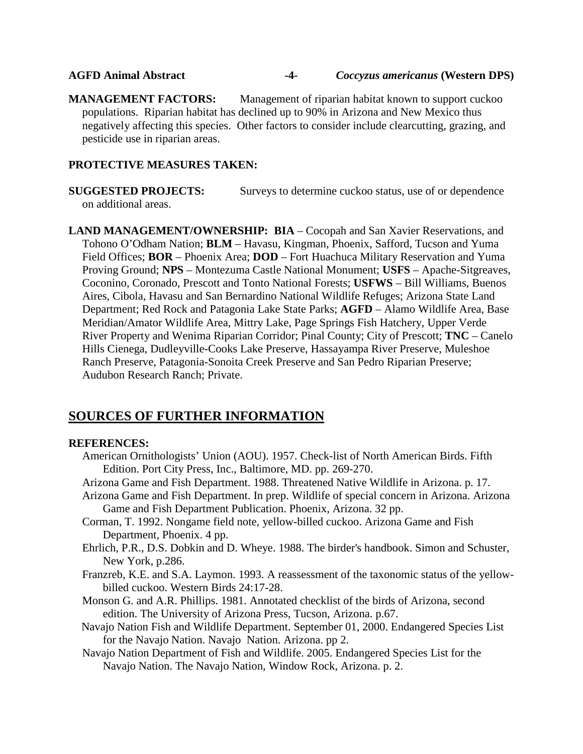#### **AGFD Animal Abstract -4-** *Coccyzus americanus* **(Western DPS)**

**MANAGEMENT FACTORS:** Management of riparian habitat known to support cuckoo populations. Riparian habitat has declined up to 90% in Arizona and New Mexico thus negatively affecting this species. Other factors to consider include clearcutting, grazing, and pesticide use in riparian areas.

#### **PROTECTIVE MEASURES TAKEN:**

**SUGGESTED PROJECTS:** Surveys to determine cuckoo status, use of or dependence on additional areas.

**LAND MANAGEMENT/OWNERSHIP: BIA** – Cocopah and San Xavier Reservations, and Tohono O'Odham Nation; **BLM** – Havasu, Kingman, Phoenix, Safford, Tucson and Yuma Field Offices; **BOR** – Phoenix Area; **DOD** – Fort Huachuca Military Reservation and Yuma Proving Ground; **NPS** – Montezuma Castle National Monument; **USFS** – Apache-Sitgreaves, Coconino, Coronado, Prescott and Tonto National Forests; **USFWS** – Bill Williams, Buenos Aires, Cibola, Havasu and San Bernardino National Wildlife Refuges; Arizona State Land Department; Red Rock and Patagonia Lake State Parks; **AGFD** – Alamo Wildlife Area, Base Meridian/Amator Wildlife Area, Mittry Lake, Page Springs Fish Hatchery, Upper Verde River Property and Wenima Riparian Corridor; Pinal County; City of Prescott; **TNC** – Canelo Hills Cienega, Dudleyville-Cooks Lake Preserve, Hassayampa River Preserve, Muleshoe Ranch Preserve, Patagonia-Sonoita Creek Preserve and San Pedro Riparian Preserve; Audubon Research Ranch; Private.

# **SOURCES OF FURTHER INFORMATION**

#### **REFERENCES:**

- American Ornithologists' Union (AOU). 1957. Check-list of North American Birds. Fifth Edition. Port City Press, Inc., Baltimore, MD. pp. 269-270.
- Arizona Game and Fish Department. 1988. Threatened Native Wildlife in Arizona. p. 17.
- Arizona Game and Fish Department. In prep. Wildlife of special concern in Arizona. Arizona Game and Fish Department Publication. Phoenix, Arizona. 32 pp.
- Corman, T. 1992. Nongame field note, yellow-billed cuckoo. Arizona Game and Fish Department, Phoenix. 4 pp.
- Ehrlich, P.R., D.S. Dobkin and D. Wheye. 1988. The birder's handbook. Simon and Schuster, New York, p.286.
- Franzreb, K.E. and S.A. Laymon. 1993. A reassessment of the taxonomic status of the yellowbilled cuckoo. Western Birds 24:17-28.
- Monson G. and A.R. Phillips. 1981. Annotated checklist of the birds of Arizona, second edition. The University of Arizona Press, Tucson, Arizona. p.67.
- Navajo Nation Fish and Wildlife Department. September 01, 2000. Endangered Species List for the Navajo Nation. Navajo Nation. Arizona. pp 2.
- Navajo Nation Department of Fish and Wildlife. 2005. Endangered Species List for the Navajo Nation. The Navajo Nation, Window Rock, Arizona. p. 2.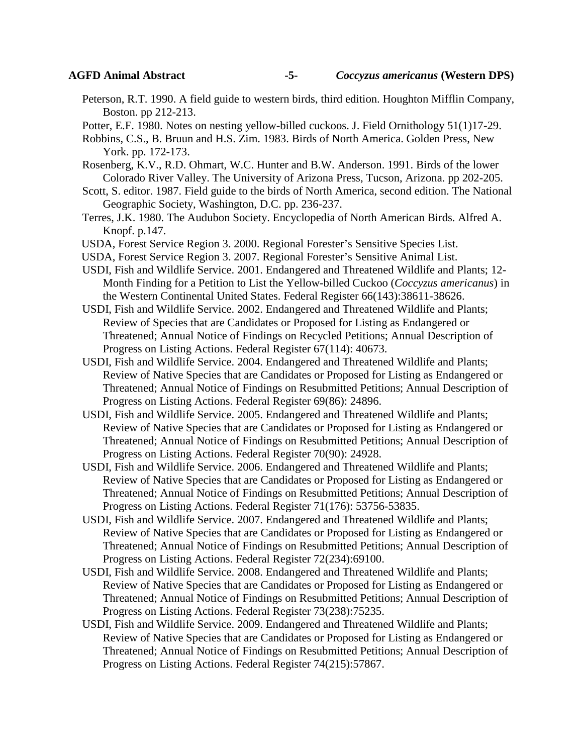- Peterson, R.T. 1990. A field guide to western birds, third edition. Houghton Mifflin Company, Boston. pp 212-213.
- Potter, E.F. 1980. Notes on nesting yellow-billed cuckoos. J. Field Ornithology 51(1)17-29.
- Robbins, C.S., B. Bruun and H.S. Zim. 1983. Birds of North America. Golden Press, New York. pp. 172-173.
- Rosenberg, K.V., R.D. Ohmart, W.C. Hunter and B.W. Anderson. 1991. Birds of the lower Colorado River Valley. The University of Arizona Press, Tucson, Arizona. pp 202-205.
- Scott, S. editor. 1987. Field guide to the birds of North America, second edition. The National Geographic Society, Washington, D.C. pp. 236-237.
- Terres, J.K. 1980. The Audubon Society. Encyclopedia of North American Birds. Alfred A. Knopf. p.147.
- USDA, Forest Service Region 3. 2000. Regional Forester's Sensitive Species List.
- USDA, Forest Service Region 3. 2007. Regional Forester's Sensitive Animal List.
- USDI, Fish and Wildlife Service. 2001. Endangered and Threatened Wildlife and Plants; 12- Month Finding for a Petition to List the Yellow-billed Cuckoo (*Coccyzus americanus*) in the Western Continental United States. Federal Register 66(143):38611-38626.
- USDI, Fish and Wildlife Service. 2002. Endangered and Threatened Wildlife and Plants; Review of Species that are Candidates or Proposed for Listing as Endangered or Threatened; Annual Notice of Findings on Recycled Petitions; Annual Description of Progress on Listing Actions. Federal Register 67(114): 40673.
- USDI, Fish and Wildlife Service. 2004. Endangered and Threatened Wildlife and Plants; Review of Native Species that are Candidates or Proposed for Listing as Endangered or Threatened; Annual Notice of Findings on Resubmitted Petitions; Annual Description of Progress on Listing Actions. Federal Register 69(86): 24896.
- USDI, Fish and Wildlife Service. 2005. Endangered and Threatened Wildlife and Plants; Review of Native Species that are Candidates or Proposed for Listing as Endangered or Threatened; Annual Notice of Findings on Resubmitted Petitions; Annual Description of Progress on Listing Actions. Federal Register 70(90): 24928.
- USDI, Fish and Wildlife Service. 2006. Endangered and Threatened Wildlife and Plants; Review of Native Species that are Candidates or Proposed for Listing as Endangered or Threatened; Annual Notice of Findings on Resubmitted Petitions; Annual Description of Progress on Listing Actions. Federal Register 71(176): 53756-53835.
- USDI, Fish and Wildlife Service. 2007. Endangered and Threatened Wildlife and Plants; Review of Native Species that are Candidates or Proposed for Listing as Endangered or Threatened; Annual Notice of Findings on Resubmitted Petitions; Annual Description of Progress on Listing Actions. Federal Register 72(234):69100.
- USDI, Fish and Wildlife Service. 2008. Endangered and Threatened Wildlife and Plants; Review of Native Species that are Candidates or Proposed for Listing as Endangered or Threatened; Annual Notice of Findings on Resubmitted Petitions; Annual Description of Progress on Listing Actions. Federal Register 73(238):75235.
- USDI, Fish and Wildlife Service. 2009. Endangered and Threatened Wildlife and Plants; Review of Native Species that are Candidates or Proposed for Listing as Endangered or Threatened; Annual Notice of Findings on Resubmitted Petitions; Annual Description of Progress on Listing Actions. Federal Register 74(215):57867.